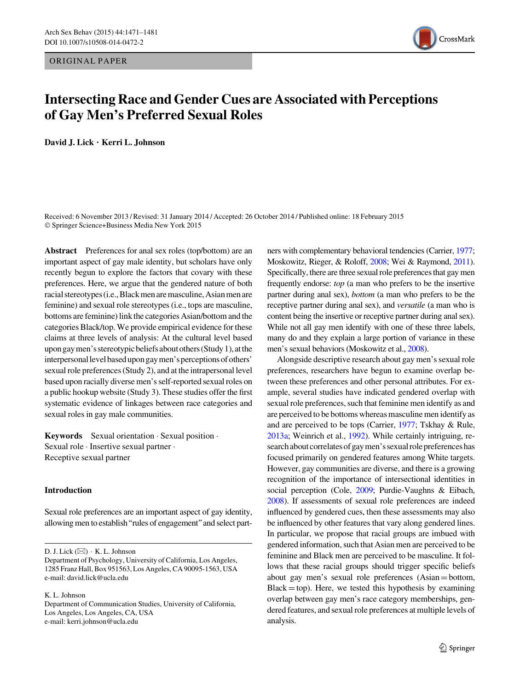ORIGINAL PAPER



# Intersecting Race and Gender Cues are Associated with Perceptions of Gay Men's Preferred Sexual Roles

David J. Lick • Kerri L. Johnson

Received: 6 November 2013 / Revised: 31 January 2014 / Accepted: 26 October 2014 / Published online: 18 February 2015 © Springer Science+Business Media New York 2015

Abstract Preferences for anal sex roles (top/bottom) are an important aspect of gay male identity, but scholars have only recently begun to explore the factors that covary with these preferences. Here, we argue that the gendered nature of both racial stereotypes (i.e., Black men are masculine, Asian men are feminine) and sexual role stereotypes (i.e., tops are masculine, bottoms are feminine) link the categories Asian/bottom and the categories Black/top. We provide empirical evidence for these claims at three levels of analysis: At the cultural level based upon gay men's stereotypic beliefs about others (Study 1), at the interpersonal level based upon gay men's perceptions of others' sexual role preferences (Study 2), and at the intrapersonal level based upon racially diverse men's self-reported sexual roles on a public hookup website (Study 3). These studies offer the first systematic evidence of linkages between race categories and sexual roles in gay male communities.

Keywords Sexual orientation - Sexual position - Sexual role · Insertive sexual partner · Receptive sexual partner

### Introduction

Sexual role preferences are an important aspect of gay identity, allowing men to establish''rules of engagement''and select part-

D. J. Lick (&) - K. L. Johnson

K. L. Johnson

ners with complementary behavioral tendencies (Carrier, [1977](#page-9-0); Moskowitz, Rieger, & Roloff, [2008](#page-9-0); Wei & Raymond, [2011\)](#page-10-0). Specifically, there are three sexual role preferences that gay men frequently endorse: top (a man who prefers to be the insertive partner during anal sex), bottom (a man who prefers to be the receptive partner during anal sex), and versatile (a man who is content being the insertive or receptive partner during anal sex). While not all gay men identify with one of these three labels, many do and they explain a large portion of variance in these men's sexual behaviors (Moskowitz et al., [2008\)](#page-9-0).

Alongside descriptive research about gay men's sexual role preferences, researchers have begun to examine overlap between these preferences and other personal attributes. For example, several studies have indicated gendered overlap with sexual role preferences, such that feminine men identify as and are perceived to be bottoms whereas masculine men identify as and are perceived to be tops (Carrier, [1977;](#page-9-0) Tskhay & Rule, [2013a;](#page-10-0) Weinrich et al., [1992](#page-10-0)). While certainly intriguing, research about correlates of gay men's sexual role preferences has focused primarily on gendered features among White targets. However, gay communities are diverse, and there is a growing recognition of the importance of intersectional identities in social perception (Cole, [2009](#page-9-0); Purdie-Vaughns & Eibach, [2008\)](#page-9-0). If assessments of sexual role preferences are indeed influenced by gendered cues, then these assessments may also be influenced by other features that vary along gendered lines. In particular, we propose that racial groups are imbued with gendered information, such that Asian men are perceived to be feminine and Black men are perceived to be masculine. It follows that these racial groups should trigger specific beliefs about gay men's sexual role preferences (Asian=bottom,  $Black = top)$ . Here, we tested this hypothesis by examining overlap between gay men's race category memberships, gendered features, and sexual role preferences at multiple levels of analysis.

Department of Psychology, University of California, Los Angeles, 1285 Franz Hall, Box 951563, Los Angeles, CA 90095-1563, USA e-mail: david.lick@ucla.edu

Department of Communication Studies, University of California, Los Angeles, Los Angeles, CA, USA e-mail: kerri.johnson@ucla.edu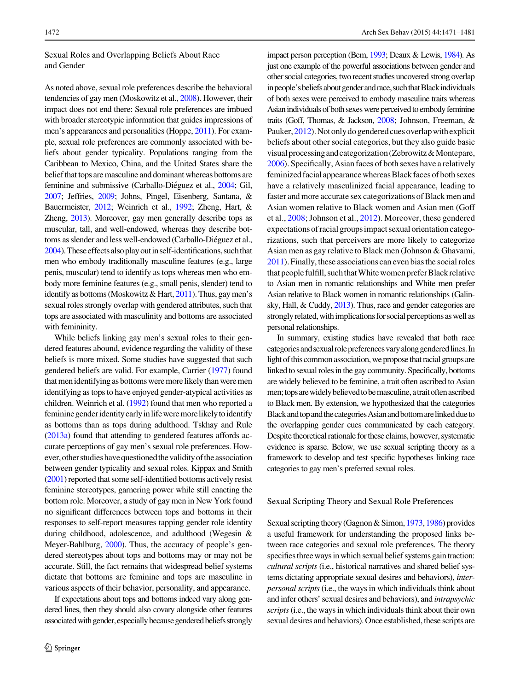# Sexual Roles and Overlapping Beliefs About Race and Gender

As noted above, sexual role preferences describe the behavioral tendencies of gay men (Moskowitz et al., [2008](#page-9-0)). However, their impact does not end there: Sexual role preferences are imbued with broader stereotypic information that guides impressions of men's appearances and personalities (Hoppe, [2011](#page-9-0)). For example, sexual role preferences are commonly associated with beliefs about gender typicality. Populations ranging from the Caribbean to Mexico, China, and the United States share the belief that tops are masculine and dominant whereas bottoms are feminine and submissive (Carballo-Diéguez et al., [2004;](#page-9-0) Gil, [2007](#page-9-0); Jeffries, [2009](#page-9-0); Johns, Pingel, Eisenberg, Santana, & Bauermeister, [2012](#page-9-0); Weinrich et al., [1992;](#page-10-0) Zheng, Hart, & Zheng, [2013\)](#page-10-0). Moreover, gay men generally describe tops as muscular, tall, and well-endowed, whereas they describe bottoms as slender and less well-endowed (Carballo-Diéguez et al., [2004](#page-9-0)). These effects also play out in self-identifications, such that men who embody traditionally masculine features (e.g., large penis, muscular) tend to identify as tops whereas men who embody more feminine features (e.g., small penis, slender) tend to identify as bottoms (Moskowitz  $& Hart, 2011$  $& Hart, 2011$ ). Thus, gay men's sexual roles strongly overlap with gendered attributes, such that tops are associated with masculinity and bottoms are associated with femininity.

While beliefs linking gay men's sexual roles to their gendered features abound, evidence regarding the validity of these beliefs is more mixed. Some studies have suggested that such gendered beliefs are valid. For example, Carrier ([1977\)](#page-9-0) found that men identifying as bottoms were more likely than were men identifying as tops to have enjoyed gender-atypical activities as children. Weinrich et al. [\(1992](#page-10-0)) found that men who reported a feminine gender identity early in life were more likely to identify as bottoms than as tops during adulthood. Tskhay and Rule [\(2013a\)](#page-10-0) found that attending to gendered features affords accurate perceptions of gay men's sexual role preferences. However, other studies have questioned the validity of the association between gender typicality and sexual roles. Kippax and Smith [\(2001](#page-9-0)) reported that some self-identified bottoms actively resist feminine stereotypes, garnering power while still enacting the bottom role. Moreover, a study of gay men in New York found no significant differences between tops and bottoms in their responses to self-report measures tapping gender role identity during childhood, adolescence, and adulthood (Wegesin & Meyer-Bahlburg, [2000\)](#page-10-0). Thus, the accuracy of people's gendered stereotypes about tops and bottoms may or may not be accurate. Still, the fact remains that widespread belief systems dictate that bottoms are feminine and tops are masculine in various aspects of their behavior, personality, and appearance.

If expectations about tops and bottoms indeed vary along gendered lines, then they should also covary alongside other features associated with gender, especially because gendered beliefs strongly

impact person perception (Bem, [1993;](#page-9-0) Deaux & Lewis, [1984\)](#page-9-0). As just one example of the powerful associations between gender and other social categories, two recentstudies uncovered strong overlap in people's beliefs about gender and race, such that Black individuals of both sexes were perceived to embody masculine traits whereas Asian individuals of both sexes were perceived to embody feminine traits (Goff, Thomas, & Jackson, [2008;](#page-9-0) Johnson, Freeman, & Pauker, [2012\)](#page-9-0). Not only do gendered cues overlap with explicit beliefs about other social categories, but they also guide basic visualprocessingandcategorization(Zebrowitz&Montepare, [2006\)](#page-10-0). Specifically, Asian faces of both sexes have a relatively feminized facial appearance whereas Black faces of both sexes have a relatively masculinized facial appearance, leading to faster and more accurate sex categorizations of Black men and Asian women relative to Black women and Asian men (Goff et al., [2008;](#page-9-0) Johnson et al., [2012\)](#page-9-0). Moreover, these gendered expectations ofracial groupsimpact sexual orientation categorizations, such that perceivers are more likely to categorize Asian men as gay relative to Black men (Johnson & Ghavami, [2011\)](#page-9-0). Finally, these associations can even bias the social roles that people fulfill, such that White women prefer Black relative to Asian men in romantic relationships and White men prefer Asian relative to Black women in romantic relationships (Galinsky, Hall, & Cuddy, [2013\)](#page-9-0). Thus, race and gender categories are strongly related, with implications for social perceptions as well as personal relationships.

In summary, existing studies have revealed that both race categories and sexual role preferences vary along gendered lines. In light of this common association, we propose that racial groups are linked to sexual roles in the gay community. Specifically, bottoms are widely believed to be feminine, a trait often ascribed to Asian men; tops are widely believed to be masculine, a trait often ascribed to Black men. By extension, we hypothesized that the categories BlackandtopandthecategoriesAsianandbottomarelinkeddueto the overlapping gender cues communicated by each category. Despite theoretical rationale for these claims, however, systematic evidence is sparse. Below, we use sexual scripting theory as a framework to develop and test specific hypotheses linking race categories to gay men's preferred sexual roles.

#### Sexual Scripting Theory and Sexual Role Preferences

Sexual scripting theory (Gagnon & Simon, [1973](#page-9-0), [1986](#page-9-0)) provides a useful framework for understanding the proposed links between race categories and sexual role preferences. The theory specifies three ways in which sexual belief systems gain traction: cultural scripts (i.e., historical narratives and shared belief systems dictating appropriate sexual desires and behaviors), interpersonal scripts (i.e., the ways in which individuals think about and infer others' sexual desires and behaviors), and intrapsychic scripts (i.e., the ways in which individuals think about their own sexual desires and behaviors). Once established, these scripts are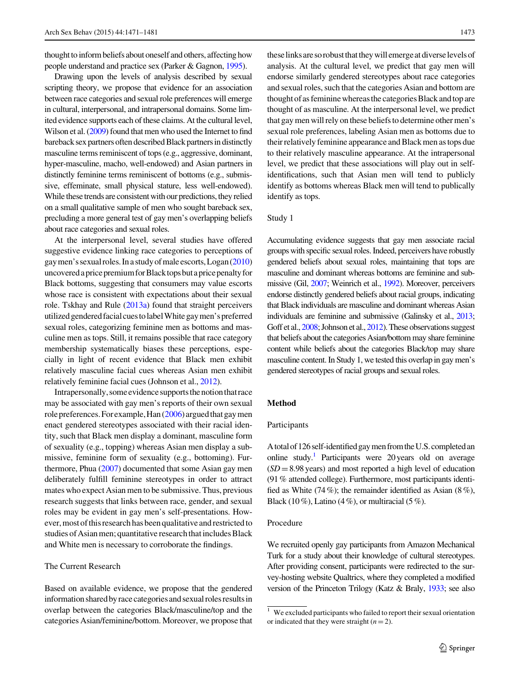thought to inform beliefs about oneself and others, affecting how people understand and practice sex (Parker & Gagnon, [1995\)](#page-9-0).

Drawing upon the levels of analysis described by sexual scripting theory, we propose that evidence for an association between race categories and sexual role preferences will emerge in cultural, interpersonal, and intrapersonal domains. Some limited evidence supports each of these claims. At the cultural level, Wilson et al. [\(2009](#page-10-0)) found that men who used the Internet to find bareback sex partners often described Black partners in distinctly masculine terms reminiscent of tops (e.g., aggressive, dominant, hyper-masculine, macho, well-endowed) and Asian partners in distinctly feminine terms reminiscent of bottoms (e.g., submissive, effeminate, small physical stature, less well-endowed). While these trends are consistent with our predictions, they relied on a small qualitative sample of men who sought bareback sex, precluding a more general test of gay men's overlapping beliefs about race categories and sexual roles.

At the interpersonal level, several studies have offered suggestive evidence linking race categories to perceptions of gay men's sexual roles. In a study of male escorts, Logan [\(2010\)](#page-9-0) uncoveredapricepremiumforBlacktopsbutapricepenaltyfor Black bottoms, suggesting that consumers may value escorts whose race is consistent with expectations about their sexual role. Tskhay and Rule ([2013a](#page-10-0)) found that straight perceivers utilizedgenderedfacialcuestolabelWhitegaymen'spreferred sexual roles, categorizing feminine men as bottoms and masculine men as tops. Still, it remains possible that race category membership systematically biases these perceptions, especially in light of recent evidence that Black men exhibit relatively masculine facial cues whereas Asian men exhibit relatively feminine facial cues (Johnson et al., [2012\)](#page-9-0).

Intrapersonally, some evidence supports the notion that race may be associated with gay men's reports of their own sexual role preferences. For example, Han ([2006](#page-9-0)) argued that gay men enact gendered stereotypes associated with their racial identity, such that Black men display a dominant, masculine form of sexuality (e.g., topping) whereas Asian men display a submissive, feminine form of sexuality (e.g., bottoming). Furthermore, Phua [\(2007](#page-9-0)) documented that some Asian gay men deliberately fulfill feminine stereotypes in order to attract mates who expect Asian men to be submissive. Thus, previous research suggests that links between race, gender, and sexual roles may be evident in gay men's self-presentations. However, most of this research has been qualitative and restricted to studies of Asian men; quantitative research that includes Black and White men is necessary to corroborate the findings.

# The Current Research

Based on available evidence, we propose that the gendered information shared by race categories and sexual roles results in overlap between the categories Black/masculine/top and the categories Asian/feminine/bottom. Moreover, we propose that

theselinksaresorobustthattheywillemergeatdiverselevelsof analysis. At the cultural level, we predict that gay men will endorse similarly gendered stereotypes about race categories and sexual roles, such that the categories Asian and bottom are thought of as feminine whereas the categories Black and top are thought of as masculine. At the interpersonal level, we predict that gay men will rely on these beliefs to determine other men's sexual role preferences, labeling Asian men as bottoms due to their relatively feminine appearance and Black men as tops due to their relatively masculine appearance. At the intrapersonal level, we predict that these associations will play out in selfidentifications, such that Asian men will tend to publicly identify as bottoms whereas Black men will tend to publically identify as tops.

# Study 1

Accumulating evidence suggests that gay men associate racial groups with specific sexual roles. Indeed, perceivers have robustly gendered beliefs about sexual roles, maintaining that tops are masculine and dominant whereas bottoms are feminine and submissive (Gil, [2007;](#page-9-0) Weinrich et al., [1992\)](#page-10-0). Moreover, perceivers endorse distinctly gendered beliefs about racial groups, indicating that Black individuals are masculine and dominant whereas Asian individuals are feminine and submissive (Galinsky et al., [2013](#page-9-0); Goff et al., [2008](#page-9-0); Johnson et al., [2012\)](#page-9-0). These observations suggest that beliefs about the categories Asian/bottom may share feminine content while beliefs about the categories Black/top may share masculine content. In Study 1, we tested this overlap in gay men's gendered stereotypes of racial groups and sexual roles.

#### Method

#### Participants

A total of 126 self-identified gay men from the U.S. completed an online study.<sup>1</sup> Participants were 20 years old on average  $(SD = 8.98$  years) and most reported a high level of education (91 % attended college). Furthermore, most participants identified as White (74%); the remainder identified as Asian (8%), Black (10 %), Latino (4 %), or multiracial (5 %).

# Procedure

We recruited openly gay participants from Amazon Mechanical Turk for a study about their knowledge of cultural stereotypes. After providing consent, participants were redirected to the survey-hosting website Qualtrics, where they completed a modified version of the Princeton Trilogy (Katz & Braly, [1933;](#page-9-0) see also

 $1$  We excluded participants who failed to report their sexual orientation or indicated that they were straight  $(n = 2)$ .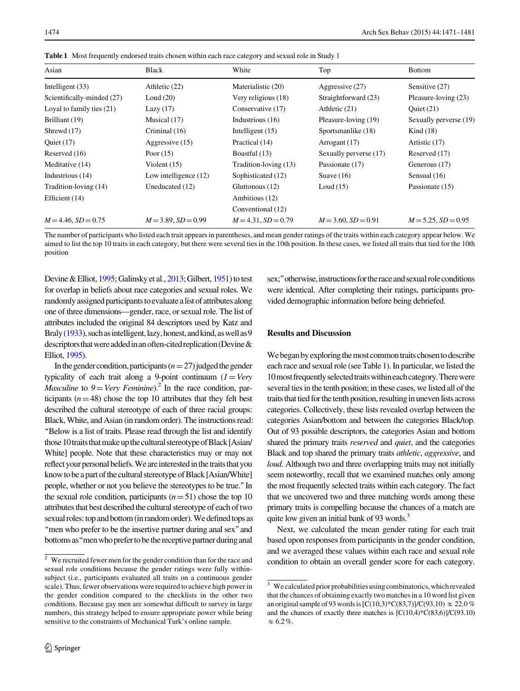Asian Black White Top Bottom Intelligent (33) Athletic (22) Materialistic (20) Aggressive (27) Sensitive (27) Scientifically-minded (27) Loud (20) Very religious (18) Straightforward (23) Pleasure-loving (23) Loyal to family ties (21) Lazy (17) Conservative (17) Athletic (21) Quiet (21) Brilliant (19) Musical (17) Industrious (16) Pleasure-loving (19) Sexually perverse (19) Shrewd (17) Criminal (16) Intelligent (15) Sportsmanlike (18) Kind (18) Quiet (17) Aggressive (15) Practical (14) Arrogant (17) Artistic (17) Reserved (16) Poor (15) Boastful (13) Sexually perverse (17) Reserved (17) Meditative (14) Violent (15) Tradition-loving (13) Passionate (17) Generous (17) Industrious (14) Low intelligence (12) Sophisticated (12) Suave (16) Sensual (16) Tradition-loving (14) Uneducated (12) Gluttonous (12) Loud (15) Passionate (15) Efficient (14) Ambitious (12) Conventional (12)

Table 1 Most frequently endorsed traits chosen within each race category and sexual role in Study 1

The number of participants who listed each trait appears in parentheses, and mean gender ratings of the traits within each category appear below. We aimed to list the top 10 traits in each category, but there were several ties in the 10th position. In these cases, we listed all traits that tied for the 10th position

 $M = 4.46$ ,  $SD = 0.75$   $M = 3.89$ ,  $SD = 0.99$   $M = 4.31$ ,  $SD = 0.79$   $M = 3.60$ ,  $SD = 0.91$   $M = 5.25$ ,  $SD = 0.95$ 

Devine & Elliot, [1995](#page-9-0); Galinsky et al., [2013](#page-9-0); Gilbert, [1951\)](#page-9-0) to test for overlap in beliefs about race categories and sexual roles. We randomly assigned participants to evaluate a list of attributes along one of three dimensions—gender, race, or sexual role. The list of attributes included the original 84 descriptors used by Katz and Braly [\(1933](#page-9-0)), such as intelligent, lazy, honest, and kind, as well as 9 descriptors that were added in an often-cited replication (Devine  $\&$ Elliot, [1995](#page-9-0)).

In the gender condition, participants ( $n=27$ ) judged the gender typicality of each trait along a 9-point continuum  $(l = V e r y)$ *Masculine* to  $9 = \text{Very}\ \text{Feminine}.^2$  In the race condition, participants  $(n=48)$  chose the top 10 attributes that they felt best described the cultural stereotype of each of three racial groups: Black, White, and Asian (in randomorder). The instructions read: ''Below is a list of traits. Please read through the list and identify those 10 traits that make up the cultural stereotype of Black [Asian/ White] people. Note that these characteristics may or may not reflect your personal beliefs. We are interested in the traits that you know to be a part of the cultural stereotype of Black [Asian/White] people, whether or not you believe the stereotypes to be true.''In the sexual role condition, participants  $(n=51)$  chose the top 10 attributes that best described the cultural stereotype of each of two sexual roles: top and bottom (in random order). We defined tops as "men who prefer to be the insertive partner during anal sex" and bottoms as "men who prefer to be the receptive partner during anal

sex;" otherwise, instructions for the race and sexual role conditions were identical. After completing their ratings, participants provided demographic information before being debriefed.

## Results and Discussion

We began by exploring the most common traits chosen to describe each race and sexual role (see Table 1). In particular, we listed the 10 most frequently selected traits within each category. There were several ties in the tenth position; in these cases, we listed all of the traits that tied for the tenth position, resulting in uneven lists across categories. Collectively, these lists revealed overlap between the categories Asian/bottom and between the categories Black/top. Out of 93 possible descriptors, the categories Asian and bottom shared the primary traits reserved and quiet, and the categories Black and top shared the primary traits athletic, aggressive, and loud. Although two and three overlapping traits may not initially seem noteworthy, recall that we examined matches only among the most frequently selected traits within each category. The fact that we uncovered two and three matching words among these primary traits is compelling because the chances of a match are quite low given an initial bank of 93 words.<sup>3</sup>

Next, we calculated the mean gender rating for each trait based upon responses from participants in the gender condition, and we averaged these values within each race and sexual role condition to obtain an overall gender score for each category.

 $\sqrt{2}$  We recruited fewer men for the gender condition than for the race and sexual role conditions because the gender ratings were fully withinsubject (i.e., participants evaluated all traits on a continuous gender scale). Thus, fewer observations were required to achieve high power in the gender condition compared to the checklists in the other two conditions. Because gay men are somewhat difficult to survey in large numbers, this strategy helped to ensure appropriate power while being sensitive to the constraints of Mechanical Turk's online sample.

 $\frac{3}{3}$  We calculated prior probabilities using combinatorics, which revealed that the chances of obtaining exactly two matches in a 10 word list given an original sample of 93 words is  $[C(10,3)^*C(83,7)]/C(93,10) \approx 22.0 \%$ and the chances of exactly three matches is  $[C(10,4)*C(83,6)]/C(93.10)$  $\approx 6.2\%$ .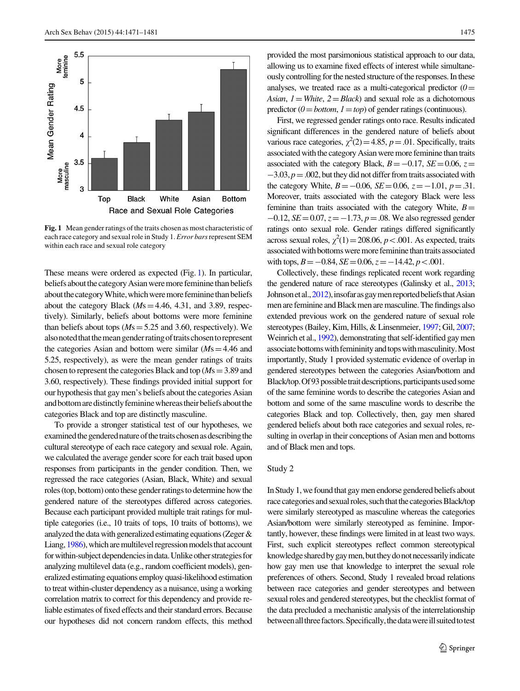

Fig. 1 Mean gender ratings of the traits chosen as most characteristic of each race category and sexual role in Study 1. Error bars represent SEM within each race and sexual role category

These means were ordered as expected (Fig. 1). In particular, beliefs about the category Asian were more feminine than beliefs about the category White, which were more feminine than beliefs about the category Black  $(Ms=4.46, 4.31,$  and 3.89, respectively). Similarly, beliefs about bottoms were more feminine than beliefs about tops ( $Ms = 5.25$  and 3.60, respectively). We also noted that the mean gender rating of traits chosen to represent the categories Asian and bottom were similar  $(Ms=4.46$  and 5.25, respectively), as were the mean gender ratings of traits chosen to represent the categories Black and top ( $Ms = 3.89$  and 3.60, respectively). These findings provided initial support for our hypothesis that gay men's beliefs about the categories Asian and bottom are distinctly feminine whereas their beliefs about the categories Black and top are distinctly masculine.

To provide a stronger statistical test of our hypotheses, we examined the gendered nature of the traits chosen as describing the cultural stereotype of each race category and sexual role. Again, we calculated the average gender score for each trait based upon responses from participants in the gender condition. Then, we regressed the race categories (Asian, Black, White) and sexual roles (top, bottom) onto these gender ratings to determine how the gendered nature of the stereotypes differed across categories. Because each participant provided multiple trait ratings for multiple categories (i.e., 10 traits of tops, 10 traits of bottoms), we analyzed the data with generalized estimating equations (Zeger & Liang, [1986\)](#page-10-0), which are multilevel regression models that account for within-subject dependencies in data. Unlike other strategies for analyzing multilevel data (e.g., random coefficient models), generalized estimating equations employ quasi-likelihood estimation to treat within-cluster dependency as a nuisance, using a working correlation matrix to correct for this dependency and provide reliable estimates of fixed effects and their standard errors. Because our hypotheses did not concern random effects, this method

provided the most parsimonious statistical approach to our data, allowing us to examine fixed effects of interest while simultaneously controlling for the nested structure of the responses. In these analyses, we treated race as a multi-categorical predictor  $(0=$ Asian,  $1 = White$ ,  $2 = Black$ ) and sexual role as a dichotomous predictor ( $0 = bottom$ ,  $1 = top$ ) of gender ratings (continuous).

First, we regressed gender ratings onto race. Results indicated significant differences in the gendered nature of beliefs about various race categories,  $\chi^2(2) = 4.85$ ,  $p = .01$ . Specifically, traits associated with the category Asian were more feminine than traits associated with the category Black,  $B = -0.17$ ,  $SE = 0.06$ ,  $z =$  $-3.03, p = .002$ , but they did not differ from traits associated with the category White,  $B = -0.06$ ,  $SE = 0.06$ ,  $z = -1.01$ ,  $p = .31$ . Moreover, traits associated with the category Black were less feminine than traits associated with the category White,  $B=$  $-0.12$ ,  $SE = 0.07$ ,  $z = -1.73$ ,  $p = .08$ . We also regressed gender ratings onto sexual role. Gender ratings differed significantly across sexual roles,  $\chi^2(1) = 208.06$ ,  $p < .001$ . As expected, traits associated with bottoms were more feminine than traits associated with tops,  $B = -0.84$ ,  $SE = 0.06$ ,  $z = -14.42$ ,  $p < 0.01$ .

Collectively, these findings replicated recent work regarding the gendered nature of race stereotypes (Galinsky et al., [2013](#page-9-0); Johnson et al., [2012](#page-9-0)), insofar as gay men reported beliefs that Asian men are feminine and Black men are masculine. The findings also extended previous work on the gendered nature of sexual role stereotypes (Bailey, Kim, Hills, & Linsenmeier, [1997](#page-9-0); Gil, [2007](#page-9-0); Weinrich et al., [1992](#page-10-0)), demonstrating that self-identified gay men associate bottoms with femininity and tops with masculinity. Most importantly, Study 1 provided systematic evidence of overlap in gendered stereotypes between the categories Asian/bottom and Black/top. Of 93 possible trait descriptions, participants used some of the same feminine words to describe the categories Asian and bottom and some of the same masculine words to describe the categories Black and top. Collectively, then, gay men shared gendered beliefs about both race categories and sexual roles, resulting in overlap in their conceptions of Asian men and bottoms and of Black men and tops.

#### Study 2

In Study 1, we found that gay men endorse gendered beliefs about race categories and sexual roles, such that the categories Black/top were similarly stereotyped as masculine whereas the categories Asian/bottom were similarly stereotyped as feminine. Importantly, however, these findings were limited in at least two ways. First, such explicit stereotypes reflect common stereotypical knowledge shared by gay men, but they do not necessarily indicate how gay men use that knowledge to interpret the sexual role preferences of others. Second, Study 1 revealed broad relations between race categories and gender stereotypes and between sexual roles and gendered stereotypes, but the checklist format of the data precluded a mechanistic analysis of the interrelationship between all three factors. Specifically, the data were ill suited to test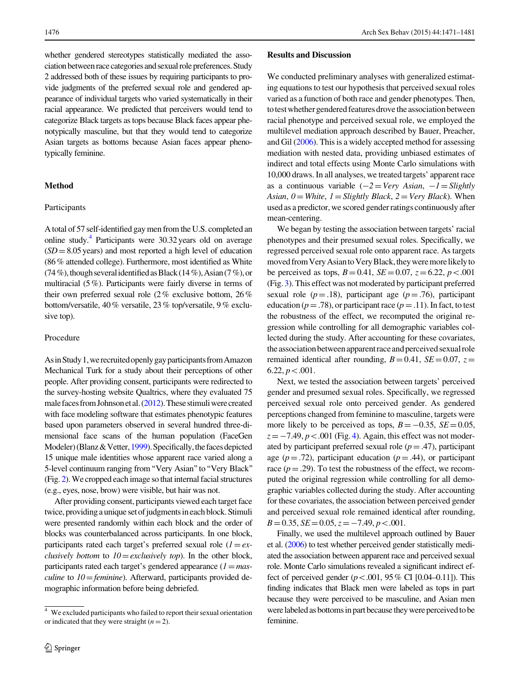whether gendered stereotypes statistically mediated the association between race categories and sexual role preferences. Study 2 addressed both of these issues by requiring participants to provide judgments of the preferred sexual role and gendered appearance of individual targets who varied systematically in their racial appearance. We predicted that perceivers would tend to categorize Black targets as tops because Black faces appear phenotypically masculine, but that they would tend to categorize Asian targets as bottoms because Asian faces appear phenotypically feminine.

## Method

#### Participants

A total of 57 self-identified gay men from the U.S. completed an online study.4 Participants were 30.32 years old on average  $(SD = 8.05 \text{ years})$  and most reported a high level of education (86 % attended college). Furthermore, most identified as White (74 %), though several identified as Black (14 %), Asian (7 %), or multiracial (5 %). Participants were fairly diverse in terms of their own preferred sexual role (2 % exclusive bottom, 26 % bottom/versatile, 40 % versatile, 23 % top/versatile, 9 % exclusive top).

#### Procedure

As in Study 1, we recruited openly gay participants from Amazon Mechanical Turk for a study about their perceptions of other people. After providing consent, participants were redirected to the survey-hosting website Qualtrics, where they evaluated 75 male faces from Johnson et al.  $(2012)$ . These stimuli were created with face modeling software that estimates phenotypic features based upon parameters observed in several hundred three-dimensional face scans of the human population (FaceGen Modeler) (Blanz & Vetter, [1999\)](#page-9-0). Specifically, the faces depicted 15 unique male identities whose apparent race varied along a 5-level continuum ranging from "Very Asian" to "Very Black" (Fig. [2](#page-6-0)). We cropped each image so that internal facial structures (e.g., eyes, nose, brow) were visible, but hair was not.

After providing consent, participants viewed each target face twice, providing a unique setof judgments in each block. Stimuli were presented randomly within each block and the order of blocks was counterbalanced across participants. In one block, participants rated each target's preferred sexual role  $(l = e^{\chi})$ *clusively bottom* to  $10 =$  *exclusively top*). In the other block, participants rated each target's gendered appearance  $(1 = mas$ *culine* to  $10 = \text{feminine}$ . Afterward, participants provided demographic information before being debriefed.

#### Results and Discussion

We conducted preliminary analyses with generalized estimating equations to test our hypothesis that perceived sexual roles varied as a function of both race and gender phenotypes. Then, to test whether gendered features drove the association between racial phenotype and perceived sexual role, we employed the multilevel mediation approach described by Bauer, Preacher, and Gil ([2006\)](#page-9-0). This is a widely accepted method for assessing mediation with nested data, providing unbiased estimates of indirect and total effects using Monte Carlo simulations with 10,000 draws. In all analyses, we treated targets' apparent race as a continuous variable  $(-2=Very Asian, -1=Slightly)$ Asian,  $0 = White$ ,  $1 = Slightly Black$ ,  $2 = Very Black$ ). When used as a predictor, we scored gender ratings continuously after mean-centering.

We began by testing the association between targets' racial phenotypes and their presumed sexual roles. Specifically, we regressed perceived sexual role onto apparent race. As targets moved from Very Asian to Very Black, they were more likely to be perceived as tops,  $B = 0.41$ ,  $SE = 0.07$ ,  $z = 6.22$ ,  $p < .001$ (Fig. [3\)](#page-6-0). This effect was not moderated by participant preferred sexual role ( $p = .18$ ), participant age ( $p = .76$ ), participant education ( $p = .78$ ), or participant race ( $p = .11$ ). In fact, to test the robustness of the effect, we recomputed the original regression while controlling for all demographic variables collected during the study. After accounting for these covariates, the association between apparent race and perceived sexual role remained identical after rounding,  $B=0.41$ ,  $SE=0.07$ ,  $z=$  $6.22, p<.001$ .

Next, we tested the association between targets' perceived gender and presumed sexual roles. Specifically, we regressed perceived sexual role onto perceived gender. As gendered perceptions changed from feminine to masculine, targets were more likely to be perceived as tops,  $B = -0.35$ ,  $SE = 0.05$ ,  $z = -7.49, p < .001$  $z = -7.49, p < .001$  $z = -7.49, p < .001$  (Fig. 4). Again, this effect was not moderated by participant preferred sexual role  $(p=.47)$ , participant age ( $p = .72$ ), participant education ( $p = .44$ ), or participant race  $(p=.29)$ . To test the robustness of the effect, we recomputed the original regression while controlling for all demographic variables collected during the study. After accounting for these covariates, the association between perceived gender and perceived sexual role remained identical after rounding,  $B=0.35, SE=0.05, z=-7.49, p<0.01.$ 

Finally, we used the multilevel approach outlined by Bauer et al. ([2006](#page-9-0)) to test whether perceived gender statistically mediated the association between apparent race and perceived sexual role. Monte Carlo simulations revealed a significant indirect effect of perceived gender ( $p < .001$ , 95 % CI [0.04–0.11]). This finding indicates that Black men were labeled as tops in part because they were perceived to be masculine, and Asian men were labeled as bottoms in part because they were perceived to be feminine.

We excluded participants who failed to report their sexual orientation or indicated that they were straight  $(n = 2)$ .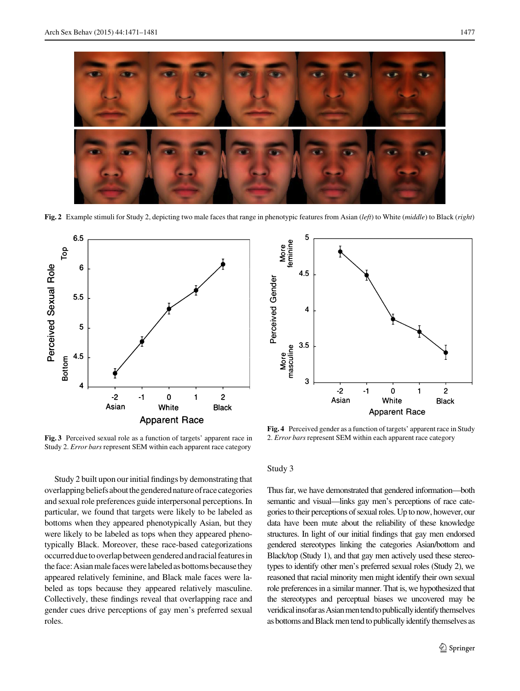<span id="page-6-0"></span>

Fig. 2 Example stimuli for Study 2, depicting two male faces that range in phenotypic features from Asian (left) to White (middle) to Black (right)



5 More<br>feminine  $4.5$ Perceived Gender  $\overline{4}$ More<br>masculine  $3.5$ 3  $-2$  $\mathbf 0$  $\overline{c}$  $-1$ 1 Asian White **Black Apparent Race** 

Fig. 3 Perceived sexual role as a function of targets' apparent race in Study 2. Error bars represent SEM within each apparent race category

Study 2 built upon our initial findings by demonstrating that overlapping beliefs about the gendered nature of race categories and sexual role preferences guide interpersonal perceptions. In particular, we found that targets were likely to be labeled as bottoms when they appeared phenotypically Asian, but they were likely to be labeled as tops when they appeared phenotypically Black. Moreover, these race-based categorizations occurred due to overlap between gendered and racial features in the face: Asian male faces were labeled as bottoms because they appeared relatively feminine, and Black male faces were labeled as tops because they appeared relatively masculine. Collectively, these findings reveal that overlapping race and gender cues drive perceptions of gay men's preferred sexual roles.

Fig. 4 Perceived gender as a function of targets' apparent race in Study 2. Error bars represent SEM within each apparent race category

### Study 3

Thus far, we have demonstrated that gendered information—both semantic and visual—links gay men's perceptions of race categories to their perceptions of sexual roles. Up to now, however, our data have been mute about the reliability of these knowledge structures. In light of our initial findings that gay men endorsed gendered stereotypes linking the categories Asian/bottom and Black/top (Study 1), and that gay men actively used these stereotypes to identify other men's preferred sexual roles (Study 2), we reasoned that racial minority men might identify their own sexual role preferences in a similar manner. That is, we hypothesized that the stereotypes and perceptual biases we uncovered may be veridical insofar as Asian men tend to publically identify themselves as bottoms and Black men tend to publically identify themselves as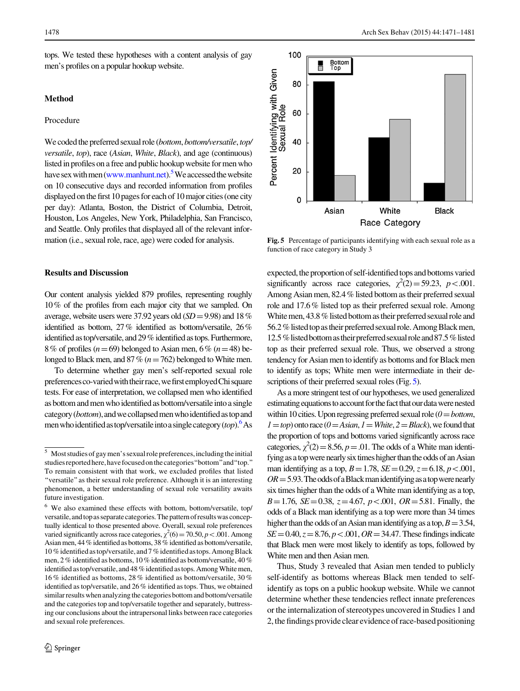tops. We tested these hypotheses with a content analysis of gay men's profiles on a popular hookup website.

#### Method

# Procedure

We coded the preferred sexual role (bottom, bottom/versatile, top/ versatile, top), race (Asian, White, Black), and age (continuous) listed in profiles on a free and public hookup website for men who have sex with men ([www.manhunt.net](http://www.manhunt.net)).<sup>5</sup> We accessed the website on 10 consecutive days and recorded information from profiles displayed on the first 10 pages for each of 10 major cities (one city per day): Atlanta, Boston, the District of Columbia, Detroit, Houston, Los Angeles, New York, Philadelphia, San Francisco, and Seattle. Only profiles that displayed all of the relevant information (i.e., sexual role, race, age) were coded for analysis.

## Results and Discussion

Our content analysis yielded 879 profiles, representing roughly 10% of the profiles from each major city that we sampled. On average, website users were 37.92 years old  $(SD = 9.98)$  and 18% identified as bottom, 27% identified as bottom/versatile, 26% identified as top/versatile, and 29% identified as tops. Furthermore, 8% of profiles ( $n=69$ ) belonged to Asian men, 6% ( $n=48$ ) belonged to Black men, and 87% ( $n=762$ ) belonged to White men.

To determine whether gay men's self-reported sexual role preferences co-varied with their race, we first employed Chi square tests. For ease of interpretation, we collapsed men who identified as bottom and men who identified as bottom/versatile into a single category (bottom), and we collapsed men who identified as top and men who identified as top/versatile into a single category (top).<sup>6</sup> As



Fig. 5 Percentage of participants identifying with each sexual role as a function of race category in Study 3

expected, the proportion of self-identified tops and bottoms varied significantly across race categories,  $\chi^2(2) = 59.23$ ,  $p < .001$ . Among Asian men, 82.4 % listed bottom as their preferred sexual role and 17.6 % listed top as their preferred sexual role. Among White men, 43.8 % listed bottom as their preferred sexual role and 56.2 % listed top as their preferred sexual role. Among Black men, 12.5 % listed bottom as their preferred sexual role and 87.5 % listed top as their preferred sexual role. Thus, we observed a strong tendency for Asian men to identify as bottoms and for Black men to identify as tops; White men were intermediate in their descriptions of their preferred sexual roles (Fig. 5).

As a more stringent test of our hypotheses, we used generalized estimating equations to account for the fact that our data were nested within 10 cities. Upon regressing preferred sexual role  $(0=bottom,$  $1 = top$ ) onto race ( $0 = Asian$ ,  $1 = White$ ,  $2 = Black$ ), we found that the proportion of tops and bottoms varied significantly across race categories,  $\chi^2(2) = 8.56$ ,  $p = .01$ . The odds of a White man identifying as a top were nearly six times higher than the odds of an Asian man identifying as a top,  $B = 1.78$ ,  $SE = 0.29$ ,  $z = 6.18$ ,  $p < .001$ ,  $OR = 5.93$ . The odds of a Black man identifying as a top were nearly six times higher than the odds of a White man identifying as a top,  $B=1.76$ ,  $SE=0.38$ ,  $z=4.67$ ,  $p<.001$ ,  $OR=5.81$ . Finally, the odds of a Black man identifying as a top were more than 34 times higher than the odds of an Asian man identifying as a top,  $B=3.54$ ,  $SE = 0.40, z = 8.76, p < .001, OR = 34.47.$  These findings indicate that Black men were most likely to identify as tops, followed by White men and then Asian men.

Thus, Study 3 revealed that Asian men tended to publicly self-identify as bottoms whereas Black men tended to selfidentify as tops on a public hookup website. While we cannot determine whether these tendencies reflect innate preferences or the internalization of stereotypes uncovered in Studies 1 and 2, the findings provide clear evidence of race-based positioning

<sup>5</sup> Most studies of gay men's sexual role preferences, including the initial studies reported here, have focused on the categories "bottom" and "top." To remain consistent with that work, we excluded profiles that listed ''versatile''as their sexual role preference. Although it is an interesting phenomenon, a better understanding of sexual role versatility awaits future investigation.

<sup>6</sup> We also examined these effects with bottom, bottom/versatile, top/ versatile, and top as separate categories. The pattern of results was conceptually identical to those presented above. Overall, sexual role preferences varied significantly across race categories,  $\chi^2(6) = 70.50, p < .001$ . Among Asian men, 44 % identified as bottoms, 38 % identified as bottom/versatile, 10 %identifiedastop/versatile, and7 %identifiedastops. AmongBlack men, 2 % identified as bottoms, 10 % identified as bottom/versatile, 40 % identified as top/versatile, and 48 % identified as tops. Among White men, 16 % identified as bottoms, 28 % identified as bottom/versatile, 30 % identified as top/versatile, and 26 % identified as tops. Thus, we obtained similar results when analyzing the categories bottom and bottom/versatile and the categories top and top/versatile together and separately, buttressing our conclusions about the intrapersonal links between race categories and sexual role preferences.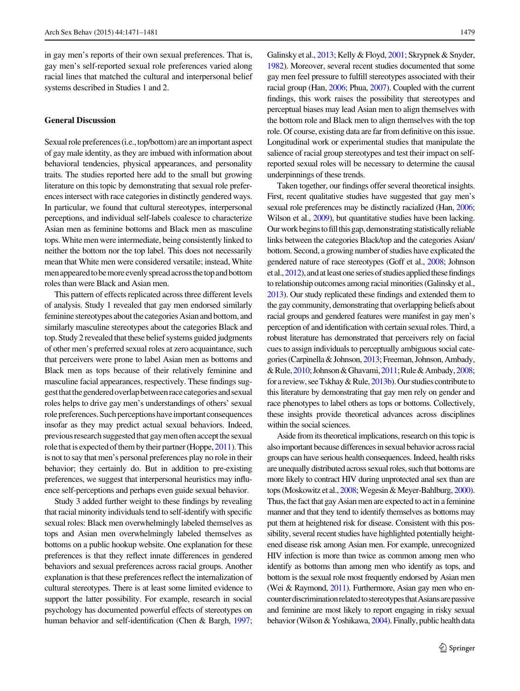in gay men's reports of their own sexual preferences. That is, gay men's self-reported sexual role preferences varied along racial lines that matched the cultural and interpersonal belief systems described in Studies 1 and 2.

#### General Discussion

Sexual role preferences (i.e., top/bottom) are an important aspect of gay male identity, as they are imbued with information about behavioral tendencies, physical appearances, and personality traits. The studies reported here add to the small but growing literature on this topic by demonstrating that sexual role preferences intersect with race categories in distinctly gendered ways. In particular, we found that cultural stereotypes, interpersonal perceptions, and individual self-labels coalesce to characterize Asian men as feminine bottoms and Black men as masculine tops. White men were intermediate, being consistently linked to neither the bottom nor the top label. This does not necessarily mean that White men were considered versatile; instead, White men appeared to be more evenly spread across the top and bottom roles than were Black and Asian men.

This pattern of effects replicated across three different levels of analysis. Study 1 revealed that gay men endorsed similarly feminine stereotypes about the categories Asian and bottom, and similarly masculine stereotypes about the categories Black and top. Study 2 revealed that these belief systems guided judgments of other men's preferred sexual roles at zero acquaintance, such that perceivers were prone to label Asian men as bottoms and Black men as tops because of their relatively feminine and masculine facial appearances, respectively. These findings suggestthatthegenderedoverlapbetweenracecategoriesandsexual roles helps to drive gay men's understandings of others' sexual role preferences. Such perceptions have important consequences insofar as they may predict actual sexual behaviors. Indeed, previous research suggested that gay men often accept the sexual role that is expected of them by their partner (Hoppe, [2011](#page-9-0)). This is not to say that men's personal preferences play no role in their behavior; they certainly do. But in addition to pre-existing preferences, we suggest that interpersonal heuristics may influence self-perceptions and perhaps even guide sexual behavior.

Study 3 added further weight to these findings by revealing that racial minority individuals tend to self-identify with specific sexual roles: Black men overwhelmingly labeled themselves as tops and Asian men overwhelmingly labeled themselves as bottoms on a public hookup website. One explanation for these preferences is that they reflect innate differences in gendered behaviors and sexual preferences across racial groups. Another explanation is that these preferences reflect the internalization of cultural stereotypes. There is at least some limited evidence to support the latter possibility. For example, research in social psychology has documented powerful effects of stereotypes on human behavior and self-identification (Chen & Bargh, [1997](#page-9-0); Galinsky et al., [2013](#page-9-0); Kelly & Floyd, [2001;](#page-9-0) Skrypnek & Snyder, [1982\)](#page-10-0). Moreover, several recent studies documented that some gay men feel pressure to fulfill stereotypes associated with their racial group (Han, [2006;](#page-9-0) Phua, [2007\)](#page-9-0). Coupled with the current findings, this work raises the possibility that stereotypes and perceptual biases may lead Asian men to align themselves with the bottom role and Black men to align themselves with the top role. Of course, existing data are far from definitive on this issue. Longitudinal work or experimental studies that manipulate the salience of racial group stereotypes and test their impact on selfreported sexual roles will be necessary to determine the causal underpinnings of these trends.

Taken together, our findings offer several theoretical insights. First, recent qualitative studies have suggested that gay men's sexual role preferences may be distinctly racialized (Han, [2006](#page-9-0); Wilson et al., [2009](#page-10-0)), but quantitative studies have been lacking. Our work begins to fill this gap, demonstrating statistically reliable links between the categories Black/top and the categories Asian/ bottom. Second, a growing number of studies have explicated the gendered nature of race stereotypes (Goff et al., [2008](#page-9-0); Johnson et al.,  $2012$ ), and at least one series of studies applied these findings to relationship outcomes among racial minorities (Galinsky et al., [2013\)](#page-9-0). Our study replicated these findings and extended them to the gay community, demonstrating that overlapping beliefs about racial groups and gendered features were manifest in gay men's perception of and identification with certain sexual roles. Third, a robust literature has demonstrated that perceivers rely on facial cues to assign individuals to perceptually ambiguous social categories (Carpinella & Johnson, [2013;](#page-9-0) Freeman, Johnson, Ambady, &Rule,[2010;](#page-9-0)Johnson&Ghavami,[2011](#page-9-0);Rule&Ambady,[2008](#page-9-0); for a review, see Tskhay & Rule, [2013b](#page-10-0)). Our studies contribute to this literature by demonstrating that gay men rely on gender and race phenotypes to label others as tops or bottoms. Collectively, these insights provide theoretical advances across disciplines within the social sciences.

Aside from its theoretical implications, research on this topic is also important because differences in sexual behavior across racial groups can have serious health consequences. Indeed, health risks are unequally distributed across sexual roles, such that bottoms are more likely to contract HIV during unprotected anal sex than are tops (Moskowitz et al., [2008](#page-9-0); Wegesin & Meyer-Bahlburg, [2000\)](#page-10-0). Thus, the fact that gay Asian men are expected to act in a feminine manner and that they tend to identify themselves as bottoms may put them at heightened risk for disease. Consistent with this possibility, several recent studies have highlighted potentially heightened disease risk among Asian men. For example, unrecognized HIV infection is more than twice as common among men who identify as bottoms than among men who identify as tops, and bottom is the sexual role most frequently endorsed by Asian men (Wei & Raymond, [2011\)](#page-10-0). Furthermore, Asian gay men who encounter discrimination related to stereotypes that Asians are passive and feminine are most likely to report engaging in risky sexual behavior (Wilson & Yoshikawa, [2004\)](#page-10-0). Finally, public health data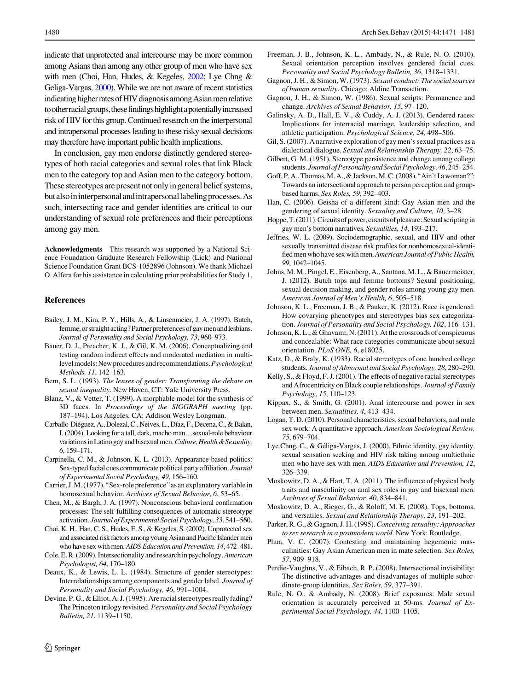<span id="page-9-0"></span>indicate that unprotected anal intercourse may be more common among Asians than among any other group of men who have sex with men (Choi, Han, Hudes, & Kegeles, 2002; Lye Chng & Geliga-Vargas, 2000). While we are not aware of recent statistics indicating higher rates of HIV diagnosis among Asian men relative to other racial groups, these findings highlight a potentially increased risk of HIV for this group. Continued research on the interpersonal and intrapersonal processes leading to these risky sexual decisions may therefore have important public health implications.

In conclusion, gay men endorse distinctly gendered stereotypes of both racial categories and sexual roles that link Black men to the category top and Asian men to the category bottom. These stereotypes are present not only in general belief systems, but also in interpersonal and intrapersonal labeling processes. As such, intersecting race and gender identities are critical to our understanding of sexual role preferences and their perceptions among gay men.

Acknowledgments This research was supported by a National Science Foundation Graduate Research Fellowship (Lick) and National Science Foundation Grant BCS-1052896 (Johnson). We thank Michael O. Alfera for his assistance in calculating prior probabilities for Study 1.

#### References

- Bailey, J. M., Kim, P. Y., Hills, A., & Linsenmeier, J. A. (1997). Butch, femme, or straight acting? Partner preferences of gay men and lesbians. Journal of Personality and Social Psychology, 73, 960–973.
- Bauer, D. J., Preacher, K. J., & Gil, K. M. (2006). Conceptualizing and testing random indirect effects and moderated mediation in multilevelmodels:Newproceduresandrecommendations.Psychological Methods, 11, 142–163.
- Bem, S. L. (1993). The lenses of gender: Transforming the debate on sexual inequality. New Haven, CT: Yale University Press.
- Blanz, V., & Vetter, T. (1999). A morphable model for the synthesis of 3D faces. In Proceedings of the SIGGRAPH meeting (pp. 187–194). Los Angeles, CA: Addison Wesley Longman.
- Carballo-Diéguez, A., Dolezal, C., Neives, L., Díaz, F., Decena, C., & Balan, I. (2004). Looking for a tall, dark, macho man…sexual-role behaviour variations in Latino gay and bisexual men. Culture, Health & Sexuality, 6, 159–171.
- Carpinella, C. M., & Johnson, K. L. (2013). Appearance-based politics: Sex-typed facial cues communicate political party affiliation. Journal of Experimental Social Psychology, 49, 156–160.
- Carrier, J. M. (1977).''Sex-role preference''as an explanatory variable in homosexual behavior. Archives of Sexual Behavior, 6, 53–65.
- Chen, M., & Bargh, J. A. (1997). Nonconscious behavioral confirmation processes: The self-fulfilling consequences of automatic stereotype activation. Journal of Experimental Social Psychology, 33, 541–560.
- Choi, K. H., Han, C. S., Hudes, E. S., & Kegeles, S. (2002). Unprotected sex and associated risk factors among young Asian and Pacific Islander men who have sex with men.AIDS Education and Prevention, 14, 472–481.
- Cole, E.R.(2009). Intersectionality and researchin psychology.American Psychologist, 64, 170–180.
- Deaux, K., & Lewis, L. L. (1984). Structure of gender stereotypes: Interrelationships among components and gender label. Journal of Personality and Social Psychology, 46, 991–1004.
- Devine, P. G., & Elliot, A. J. (1995). Are racial stereotypes really fading? The Princeton trilogy revisited. Personality and Social Psychology Bulletin, 21, 1139–1150.
- Freeman, J. B., Johnson, K. L., Ambady, N., & Rule, N. O. (2010). Sexual orientation perception involves gendered facial cues. Personality and Social Psychology Bulletin, 36, 1318–1331.
- Gagnon, J. H., & Simon, W. (1973). Sexual conduct: The social sources of human sexuality. Chicago: Aldine Transaction.
- Gagnon, J. H., & Simon, W. (1986). Sexual scripts: Permanence and change. Archives of Sexual Behavior, 15, 97–120.
- Galinsky, A. D., Hall, E. V., & Cuddy, A. J. (2013). Gendered races: Implications for interracial marriage, leadership selection, and athletic participation. Psychological Science, 24, 498–506.
- Gil, S. (2007). A narrative exploration of gay men's sexual practices as a dialectical dialogue. Sexual and Relationship Therapy, 22, 63–75.
- Gilbert, G. M. (1951). Stereotype persistence and change among college students. Journal of Personality and Social Psychology, 46, 245–254.
- Goff, P. A., Thomas, M. A., & Jackson, M. C. (2008).''Ain't I a woman?'': Towards an intersectional approach to person perception and groupbased harms. Sex Roles, 59, 392–403.
- Han, C. (2006). Geisha of a different kind: Gay Asian men and the gendering of sexual identity. Sexuality and Culture, 10, 3–28.
- Hoppe, T. (2011). Circuits of power, circuits of pleasure: Sexual scripting in gay men's bottom narratives. Sexualities, 14, 193–217.
- Jeffries, W. L. (2009). Sociodemographic, sexual, and HIV and other sexually transmitted disease risk profiles for nonhomosexual-identified menwho have sex with men.American Journal of Public Health, 99, 1042–1045.
- Johns, M. M., Pingel, E., Eisenberg, A., Santana, M. L., & Bauermeister, J. (2012). Butch tops and femme bottoms? Sexual positioning, sexual decision making, and gender roles among young gay men. American Journal of Men's Health, 6, 505–518.
- Johnson, K. L., Freeman, J. B., & Pauker, K. (2012). Race is gendered: How covarying phenotypes and stereotypes bias sex categorization. Journal of Personality and Social Psychology, 102, 116–131.
- Johnson, K. L., & Ghavami, N. (2011). At the crossroads of conspicuous and concealable: What race categories communicate about sexual orientation. PLoS ONE, 6, e18025.
- Katz, D., & Braly, K. (1933). Racial stereotypes of one hundred college students. Journal of Abnormal and Social Psychology, 28, 280–290.
- Kelly, S., & Floyd, F. J. (2001). The effects of negative racial stereotypes and Afrocentricity on Black couple relationships. Journal of Family Psychology, 15, 110–123.
- Kippax, S., & Smith, G. (2001). Anal intercourse and power in sex between men. Sexualities, 4, 413–434.
- Logan, T. D. (2010). Personal characteristics, sexual behaviors, and male sex work: A quantitative approach. American Sociological Review, 75, 679–704.
- Lye Chng, C., & Géliga-Vargas, J. (2000). Ethnic identity, gay identity, sexual sensation seeking and HIV risk taking among multiethnic men who have sex with men. AIDS Education and Prevention, 12, 326–339.
- Moskowitz, D. A., & Hart, T. A. (2011). The influence of physical body traits and masculinity on anal sex roles in gay and bisexual men. Archives of Sexual Behavior, 40, 834–841.
- Moskowitz, D. A., Rieger, G., & Roloff, M. E. (2008). Tops, bottoms, and versatiles. Sexual and Relationship Therapy, 23, 191–202.
- Parker, R. G., & Gagnon, J. H. (1995). Conceiving sexuality: Approaches to sex research in a postmodern world. New York: Routledge.
- Phua, V. C. (2007). Contesting and maintaining hegemonic masculinities: Gay Asian American men in mate selection. Sex Roles, 57, 909–918.
- Purdie-Vaughns, V., & Eibach, R. P. (2008). Intersectional invisibility: The distinctive advantages and disadvantages of multiple subordinate-group identities. Sex Roles, 59, 377–391.
- Rule, N. O., & Ambady, N. (2008). Brief exposures: Male sexual orientation is accurately perceived at 50-ms. Journal of Experimental Social Psychology, 44, 1100–1105.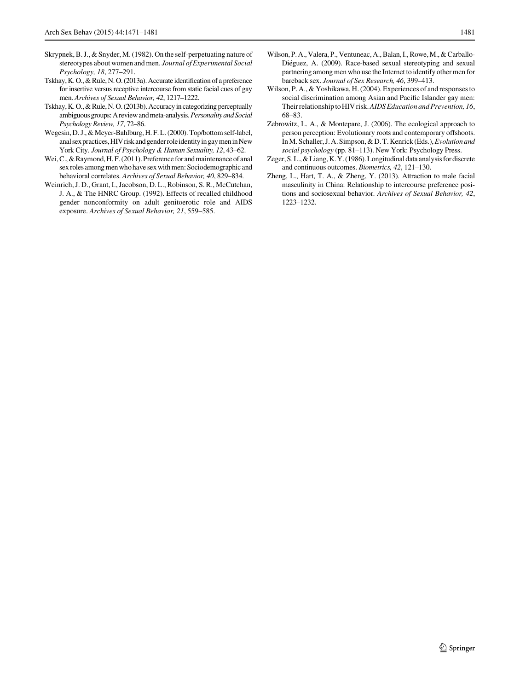- <span id="page-10-0"></span>Skrypnek, B. J., & Snyder, M. (1982). On the self-perpetuating nature of stereotypes about women and men. Journal of Experimental Social Psychology, 18, 277–291.
- Tskhay, K. O., & Rule, N. O. (2013a). Accurate identification of a preference for insertive versus receptive intercourse from static facial cues of gay men. Archives of Sexual Behavior, 42, 1217–1222.
- Tskhay, K.O., & Rule, N.O. (2013b). Accuracy in categorizing perceptually ambiguous groups: A review and meta-analysis. Personality and Social Psychology Review, 17, 72–86.
- Wegesin, D. J., & Meyer-Bahlburg, H. F. L. (2000). Top/bottom self-label, anal sex practices, HIV risk and gender role identity in gay men in New York City. Journal of Psychology & Human Sexuality, 12, 43–62.
- Wei, C., & Raymond, H.F. (2011). Preference for and maintenance of anal sex roles among men who have sex with men: Sociodemographic and behavioral correlates. Archives of Sexual Behavior, 40, 829–834.
- Weinrich, J. D., Grant, I., Jacobson, D. L., Robinson, S. R., McCutchan, J. A., & The HNRC Group. (1992). Effects of recalled childhood gender nonconformity on adult genitoerotic role and AIDS exposure. Archives of Sexual Behavior, 21, 559–585.
- Wilson, P. A., Valera, P., Ventuneac, A., Balan, I., Rowe, M., & Carballo-Diéguez, A. (2009). Race-based sexual stereotyping and sexual partnering among men who use the Internet to identify other men for bareback sex. Journal of Sex Research, 46, 399–413.
- Wilson, P. A., & Yoshikawa, H. (2004). Experiences of and responses to social discrimination among Asian and Pacific Islander gay men: Their relationship to HIV risk.AIDS Education and Prevention, 16, 68–83.
- Zebrowitz, L. A., & Montepare, J. (2006). The ecological approach to person perception: Evolutionary roots and contemporary offshoots. In M. Schaller, J. A. Simpson, & D. T. Kenrick (Eds.), Evolution and social psychology (pp. 81–113). New York: Psychology Press.
- Zeger, S. L., & Liang, K. Y. (1986). Longitudinal data analysis for discrete and continuous outcomes. Biometrics, 42, 121–130.
- Zheng, L., Hart, T. A., & Zheng, Y. (2013). Attraction to male facial masculinity in China: Relationship to intercourse preference positions and sociosexual behavior. Archives of Sexual Behavior, 42, 1223–1232.